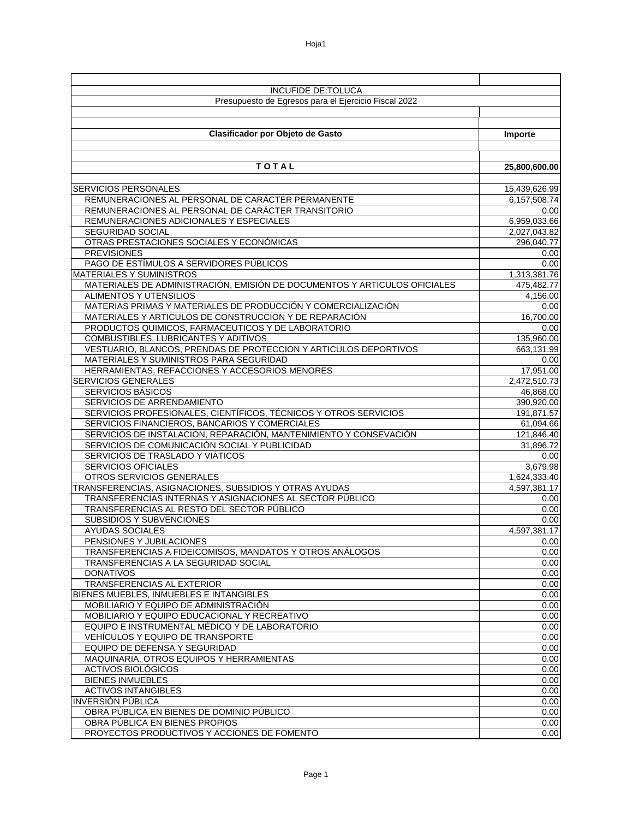| <b>INCUFIDE DE:TOLUCA</b>                                                   |               |  |
|-----------------------------------------------------------------------------|---------------|--|
|                                                                             |               |  |
| Presupuesto de Egresos para el Ejercicio Fiscal 2022                        |               |  |
|                                                                             |               |  |
|                                                                             |               |  |
| Clasificador por Objeto de Gasto                                            | Importe       |  |
|                                                                             |               |  |
|                                                                             |               |  |
| <b>TOTAL</b>                                                                | 25,800,600.00 |  |
|                                                                             |               |  |
| SERVICIOS PERSONALES                                                        | 15,439,626.99 |  |
| REMUNERACIONES AL PERSONAL DE CARÁCTER PERMANENTE                           | 6,157,508.74  |  |
| REMUNERACIONES AL PERSONAL DE CARÁCTER TRANSITORIO                          | 0.00          |  |
| REMUNERACIONES ADICIONALES Y ESPECIALES                                     | 6,959,033.66  |  |
| <b>SEGURIDAD SOCIAL</b>                                                     | 2,027,043.82  |  |
| OTRAS PRESTACIONES SOCIALES Y ECONÓMICAS                                    | 296,040.77    |  |
| <b>PREVISIONES</b>                                                          | 0.00          |  |
| PAGO DE ESTÍMULOS A SERVIDORES PÚBLICOS                                     | 0.00          |  |
| <b>MATERIALES Y SUMINISTROS</b>                                             | 1,313,381.76  |  |
| MATERIALES DE ADMINISTRACIÓN, EMISIÓN DE DOCUMENTOS Y ARTICULOS OFICIALES   | 475,482.77    |  |
| <b>ALIMENTOS Y UTENSILIOS</b>                                               | 4,156.00      |  |
| MATERIAS PRIMAS Y MATERIALES DE PRODUCCIÓN Y COMERCIALIZACIÓN               | 0.00          |  |
| MATERIALES Y ARTICULOS DE CONSTRUCCION Y DE REPARACIÓN                      | 16,700.00     |  |
| PRODUCTOS QUIMICOS, FARMACEUTICOS Y DE LABORATORIO                          | 0.00          |  |
| COMBUSTIBLES, LUBRICANTES Y ADITIVOS                                        | 135,960.00    |  |
| VESTUARIO, BLANCOS, PRENDAS DE PROTECCION Y ARTICULOS DEPORTIVOS            | 663,131.99    |  |
| MATERIALES Y SUMINISTROS PARA SEGURIDAD                                     | 0.00          |  |
| HERRAMIENTAS, REFACCIONES Y ACCESORIOS MENORES                              | 17,951.00     |  |
| <b>SERVICIOS GENERALES</b>                                                  | 2,472,510.73  |  |
| SERVICIOS BÁSICOS                                                           | 46,868.00     |  |
| SERVICIOS DE ARRENDAMIENTO                                                  | 390,920.00    |  |
| SERVICIOS PROFESIONALES, CIENTÍFICOS, TÉCNICOS Y OTROS SERVICIOS            | 191,871.57    |  |
| SERVICIOS FINANCIEROS, BANCARIOS Y COMERCIALES                              | 61,094.66     |  |
| SERVICIOS DE INSTALACION, REPARACIÓN, MANTENIMIENTO Y CONSEVACIÓN           | 121,846.40    |  |
| SERVICIOS DE COMUNICACIÓN SOCIAL Y PUBLICIDAD                               | 31,896.72     |  |
| SERVICIOS DE TRASLADO Y VIÁTICOS                                            | 0.00          |  |
| SERVICIOS OFICIALES                                                         | 3,679.98      |  |
| OTROS SERVICIOS GENERALES                                                   | 1,624,333.40  |  |
| TRANSFERENCIAS, ASIGNACIONES, SUBSIDIOS Y OTRAS AYUDAS                      | 4,597,381.17  |  |
| TRANSFERENCIAS INTERNAS Y ASIGNACIONES AL SECTOR PÚBLICO                    | 0.00          |  |
| TRANSFERENCIAS AL RESTO DEL SECTOR PÚBLICO                                  | 0.00          |  |
| <b>SUBSIDIOS Y SUBVENCIONES</b>                                             | 0.00          |  |
| <b>AYUDAS SOCIALES</b>                                                      | 4,597,381.17  |  |
| PENSIONES Y JUBILACIONES                                                    | 0.00          |  |
| TRANSFERENCIAS A FIDEICOMISOS, MANDATOS Y OTROS ANÁLOGOS                    | 0.00          |  |
| TRANSFERENCIAS A LA SEGURIDAD SOCIAL                                        | 0.00          |  |
| <b>DONATIVOS</b>                                                            | 0.00          |  |
| TRANSFERENCIAS AL EXTERIOR                                                  | 0.00          |  |
| BIENES MUEBLES, INMUEBLES E INTANGIBLES                                     | 0.00          |  |
| MOBILIARIO Y EQUIPO DE ADMINISTRACIÓN                                       | 0.00          |  |
| MOBILIARIO Y EQUIPO EDUCACIONAL Y RECREATIVO                                | 0.00          |  |
| EQUIPO E INSTRUMENTAL MÉDICO Y DE LABORATORIO                               | 0.00          |  |
| VEHÍCULOS Y EQUIPO DE TRANSPORTE                                            | 0.00          |  |
| EQUIPO DE DEFENSA Y SEGURIDAD                                               | 0.00          |  |
| MAQUINARIA, OTROS EQUIPOS Y HERRAMIENTAS<br>ACTIVOS BIOLÓGICOS              | 0.00          |  |
|                                                                             | 0.00          |  |
| <b>BIENES INMUEBLES</b>                                                     | 0.00          |  |
| <b>ACTIVOS INTANGIBLES</b><br><b>INVERSIÓN PÚBLICA</b>                      | 0.00          |  |
|                                                                             | 0.00          |  |
| OBRA PÚBLICA EN BIENES DE DOMINIO PÚBLICO<br>OBRA PÚBLICA EN BIENES PROPIOS | 0.00          |  |
| PROYECTOS PRODUCTIVOS Y ACCIONES DE FOMENTO                                 | 0.00<br>0.00  |  |
|                                                                             |               |  |